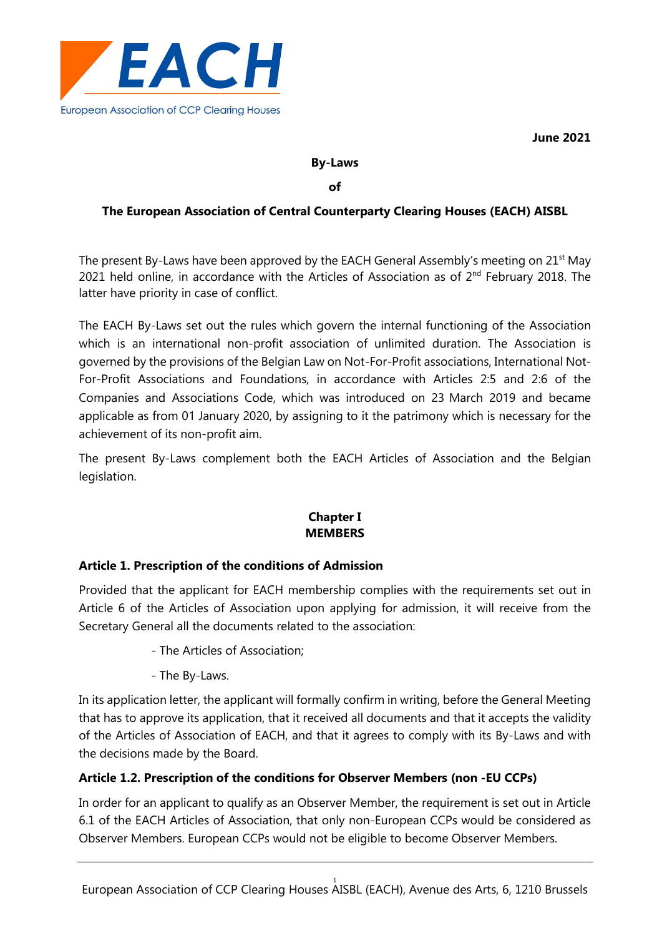

**June 2021**

#### **By-Laws**

#### **of**

## **The European Association of Central Counterparty Clearing Houses (EACH) AISBL**

The present By-Laws have been approved by the EACH General Assembly's meeting on 21<sup>st</sup> May 2021 held online, in accordance with the Articles of Association as of  $2<sup>nd</sup>$  February 2018. The latter have priority in case of conflict.

The EACH By-Laws set out the rules which govern the internal functioning of the Association which is an international non-profit association of unlimited duration. The Association is governed by the provisions of the Belgian Law on Not-For-Profit associations, International Not-For-Profit Associations and Foundations, in accordance with Articles 2:5 and 2:6 of the Companies and Associations Code, which was introduced on 23 March 2019 and became applicable as from 01 January 2020, by assigning to it the patrimony which is necessary for the achievement of its non-profit aim.

The present By-Laws complement both the EACH Articles of Association and the Belgian legislation.

# **Chapter I MEMBERS**

### **Article 1. Prescription of the conditions of Admission**

Provided that the applicant for EACH membership complies with the requirements set out in Article 6 of the Articles of Association upon applying for admission, it will receive from the Secretary General all the documents related to the association:

- The Articles of Association;
- The By-Laws.

In its application letter, the applicant will formally confirm in writing, before the General Meeting that has to approve its application, that it received all documents and that it accepts the validity of the Articles of Association of EACH, and that it agrees to comply with its By-Laws and with the decisions made by the Board.

### **Article 1.2. Prescription of the conditions for Observer Members (non -EU CCPs)**

In order for an applicant to qualify as an Observer Member, the requirement is set out in Article 6.1 of the EACH Articles of Association, that only non-European CCPs would be considered as Observer Members. European CCPs would not be eligible to become Observer Members.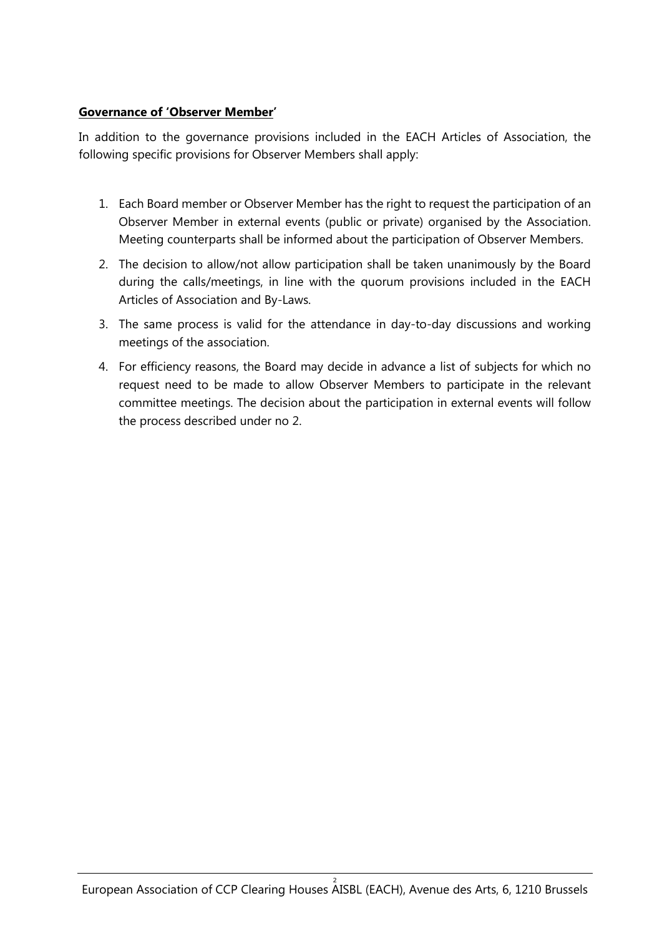# **Governance of 'Observer Member'**

In addition to the governance provisions included in the EACH Articles of Association, the following specific provisions for Observer Members shall apply:

- 1. Each Board member or Observer Member has the right to request the participation of an Observer Member in external events (public or private) organised by the Association. Meeting counterparts shall be informed about the participation of Observer Members.
- 2. The decision to allow/not allow participation shall be taken unanimously by the Board during the calls/meetings, in line with the quorum provisions included in the EACH Articles of Association and By-Laws.
- 3. The same process is valid for the attendance in day-to-day discussions and working meetings of the association.
- 4. For efficiency reasons, the Board may decide in advance a list of subjects for which no request need to be made to allow Observer Members to participate in the relevant committee meetings. The decision about the participation in external events will follow the process described under no 2.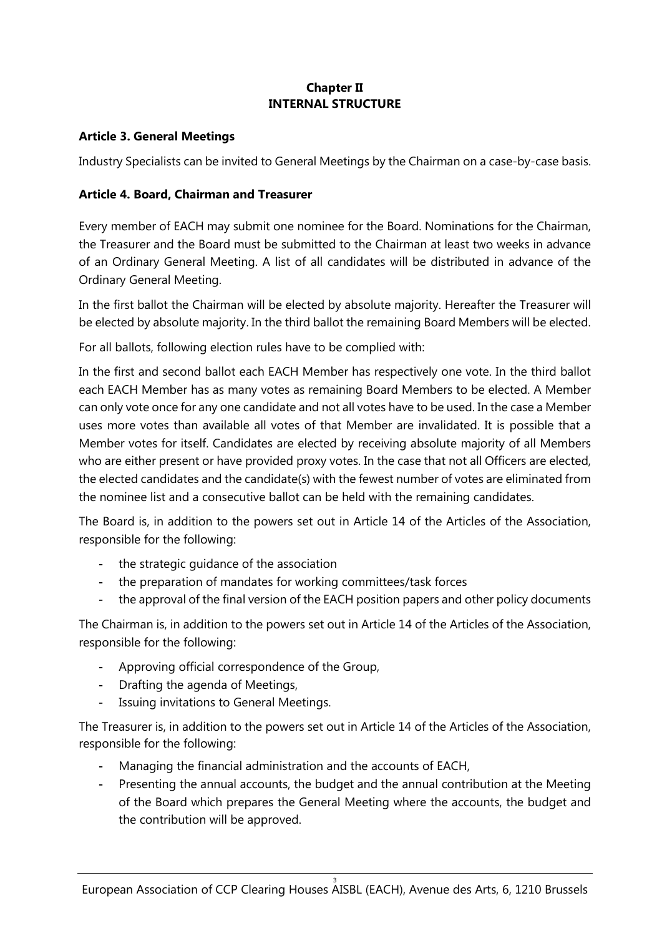# **Chapter II INTERNAL STRUCTURE**

## **Article 3. General Meetings**

Industry Specialists can be invited to General Meetings by the Chairman on a case-by-case basis.

# **Article 4. Board, Chairman and Treasurer**

Every member of EACH may submit one nominee for the Board. Nominations for the Chairman, the Treasurer and the Board must be submitted to the Chairman at least two weeks in advance of an Ordinary General Meeting. A list of all candidates will be distributed in advance of the Ordinary General Meeting.

In the first ballot the Chairman will be elected by absolute majority. Hereafter the Treasurer will be elected by absolute majority. In the third ballot the remaining Board Members will be elected.

For all ballots, following election rules have to be complied with:

In the first and second ballot each EACH Member has respectively one vote. In the third ballot each EACH Member has as many votes as remaining Board Members to be elected. A Member can only vote once for any one candidate and not all votes have to be used. In the case a Member uses more votes than available all votes of that Member are invalidated. It is possible that a Member votes for itself. Candidates are elected by receiving absolute majority of all Members who are either present or have provided proxy votes. In the case that not all Officers are elected, the elected candidates and the candidate(s) with the fewest number of votes are eliminated from the nominee list and a consecutive ballot can be held with the remaining candidates.

The Board is, in addition to the powers set out in Article 14 of the Articles of the Association, responsible for the following:

- the strategic guidance of the association
- the preparation of mandates for working committees/task forces
- the approval of the final version of the EACH position papers and other policy documents

The Chairman is, in addition to the powers set out in Article 14 of the Articles of the Association, responsible for the following:

- Approving official correspondence of the Group,
- Drafting the agenda of Meetings,
- Issuing invitations to General Meetings.

The Treasurer is, in addition to the powers set out in Article 14 of the Articles of the Association, responsible for the following:

- Managing the financial administration and the accounts of EACH,
- Presenting the annual accounts, the budget and the annual contribution at the Meeting of the Board which prepares the General Meeting where the accounts, the budget and the contribution will be approved.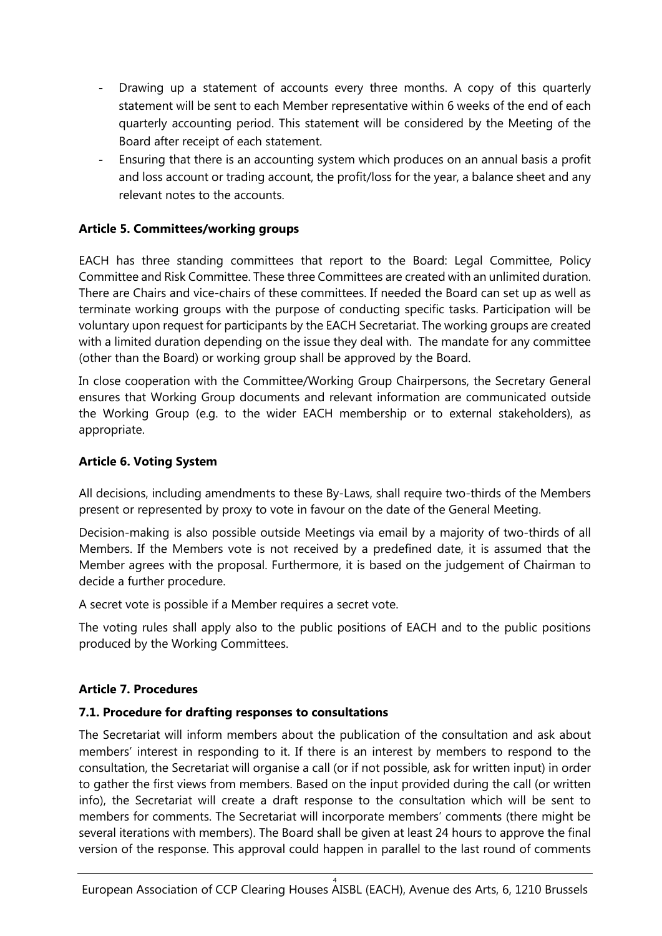- Drawing up a statement of accounts every three months. A copy of this quarterly statement will be sent to each Member representative within 6 weeks of the end of each quarterly accounting period. This statement will be considered by the Meeting of the Board after receipt of each statement.
- Ensuring that there is an accounting system which produces on an annual basis a profit and loss account or trading account, the profit/loss for the year, a balance sheet and any relevant notes to the accounts.

# **Article 5. Committees/working groups**

EACH has three standing committees that report to the Board: Legal Committee, Policy Committee and Risk Committee. These three Committees are created with an unlimited duration. There are Chairs and vice-chairs of these committees. If needed the Board can set up as well as terminate working groups with the purpose of conducting specific tasks. Participation will be voluntary upon request for participants by the EACH Secretariat. The working groups are created with a limited duration depending on the issue they deal with. The mandate for any committee (other than the Board) or working group shall be approved by the Board.

In close cooperation with the Committee/Working Group Chairpersons, the Secretary General ensures that Working Group documents and relevant information are communicated outside the Working Group (e.g. to the wider EACH membership or to external stakeholders), as appropriate.

### **Article 6. Voting System**

All decisions, including amendments to these By-Laws, shall require two-thirds of the Members present or represented by proxy to vote in favour on the date of the General Meeting.

Decision-making is also possible outside Meetings via email by a majority of two-thirds of all Members. If the Members vote is not received by a predefined date, it is assumed that the Member agrees with the proposal. Furthermore, it is based on the judgement of Chairman to decide a further procedure.

A secret vote is possible if a Member requires a secret vote.

The voting rules shall apply also to the public positions of EACH and to the public positions produced by the Working Committees.

### **Article 7. Procedures**

#### **7.1. Procedure for drafting responses to consultations**

The Secretariat will inform members about the publication of the consultation and ask about members' interest in responding to it. If there is an interest by members to respond to the consultation, the Secretariat will organise a call (or if not possible, ask for written input) in order to gather the first views from members. Based on the input provided during the call (or written info), the Secretariat will create a draft response to the consultation which will be sent to members for comments. The Secretariat will incorporate members' comments (there might be several iterations with members). The Board shall be given at least 24 hours to approve the final version of the response. This approval could happen in parallel to the last round of comments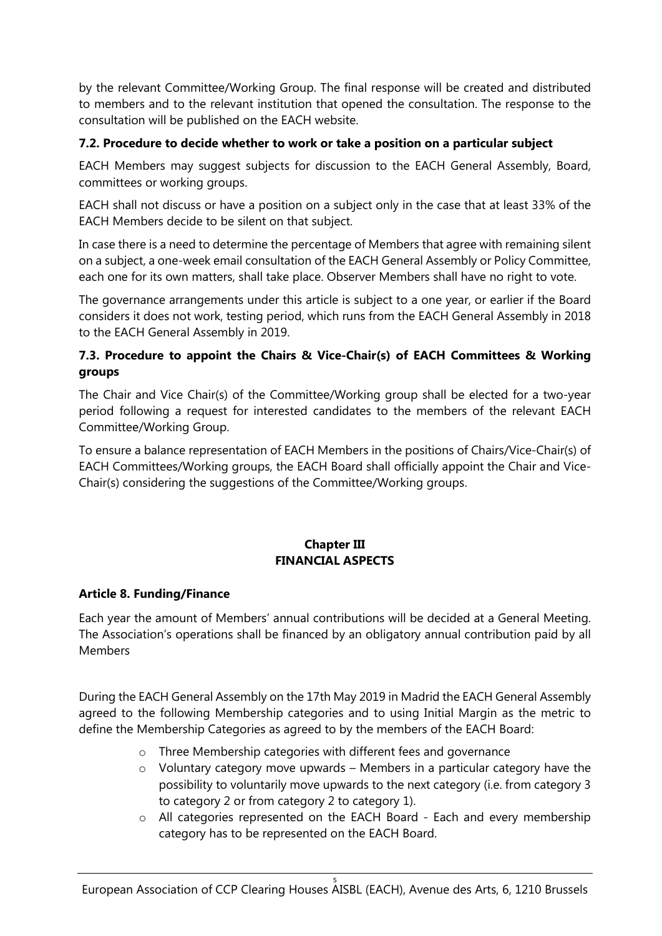by the relevant Committee/Working Group. The final response will be created and distributed to members and to the relevant institution that opened the consultation. The response to the consultation will be published on the EACH website.

## **7.2. Procedure to decide whether to work or take a position on a particular subject**

EACH Members may suggest subjects for discussion to the EACH General Assembly, Board, committees or working groups.

EACH shall not discuss or have a position on a subject only in the case that at least 33% of the EACH Members decide to be silent on that subject.

In case there is a need to determine the percentage of Members that agree with remaining silent on a subject, a one-week email consultation of the EACH General Assembly or Policy Committee, each one for its own matters, shall take place. Observer Members shall have no right to vote.

The governance arrangements under this article is subject to a one year, or earlier if the Board considers it does not work, testing period, which runs from the EACH General Assembly in 2018 to the EACH General Assembly in 2019.

# **7.3. Procedure to appoint the Chairs & Vice-Chair(s) of EACH Committees & Working groups**

The Chair and Vice Chair(s) of the Committee/Working group shall be elected for a two-year period following a request for interested candidates to the members of the relevant EACH Committee/Working Group.

To ensure a balance representation of EACH Members in the positions of Chairs/Vice-Chair(s) of EACH Committees/Working groups, the EACH Board shall officially appoint the Chair and Vice-Chair(s) considering the suggestions of the Committee/Working groups.

# **Chapter III FINANCIAL ASPECTS**

### **Article 8. Funding/Finance**

Each year the amount of Members' annual contributions will be decided at a General Meeting. The Association's operations shall be financed by an obligatory annual contribution paid by all Members

During the EACH General Assembly on the 17th May 2019 in Madrid the EACH General Assembly agreed to the following Membership categories and to using Initial Margin as the metric to define the Membership Categories as agreed to by the members of the EACH Board:

- o Three Membership categories with different fees and governance
- o Voluntary category move upwards Members in a particular category have the possibility to voluntarily move upwards to the next category (i.e. from category 3 to category 2 or from category 2 to category 1).
- o All categories represented on the EACH Board Each and every membership category has to be represented on the EACH Board.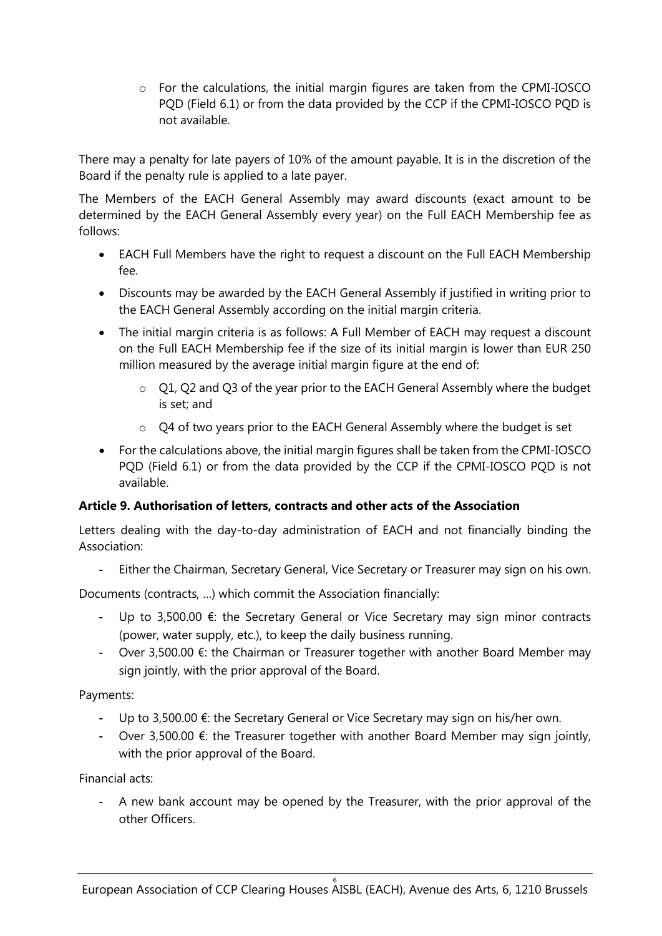o For the calculations, the initial margin figures are taken from the CPMI-IOSCO PQD (Field 6.1) or from the data provided by the CCP if the CPMI-IOSCO PQD is not available.

There may a penalty for late payers of 10% of the amount payable. It is in the discretion of the Board if the penalty rule is applied to a late payer.

The Members of the EACH General Assembly may award discounts (exact amount to be determined by the EACH General Assembly every year) on the Full EACH Membership fee as follows:

- EACH Full Members have the right to request a discount on the Full EACH Membership fee.
- Discounts may be awarded by the EACH General Assembly if justified in writing prior to the EACH General Assembly according on the initial margin criteria.
- The initial margin criteria is as follows: A Full Member of EACH may request a discount on the Full EACH Membership fee if the size of its initial margin is lower than EUR 250 million measured by the average initial margin figure at the end of:
	- $\circ$  Q1, Q2 and Q3 of the year prior to the EACH General Assembly where the budget is set; and
	- o Q4 of two years prior to the EACH General Assembly where the budget is set
- For the calculations above, the initial margin figures shall be taken from the CPMI-IOSCO PQD (Field 6.1) or from the data provided by the CCP if the CPMI-IOSCO PQD is not available.

# **Article 9. Authorisation of letters, contracts and other acts of the Association**

Letters dealing with the day-to-day administration of EACH and not financially binding the Association:

- Either the Chairman, Secretary General, Vice Secretary or Treasurer may sign on his own.

Documents (contracts, …) which commit the Association financially:

- Up to 3,500.00 €: the Secretary General or Vice Secretary may sign minor contracts (power, water supply, etc.), to keep the daily business running.
- Over 3,500.00 €: the Chairman or Treasurer together with another Board Member may sign jointly, with the prior approval of the Board.

# Payments:

- Up to 3,500.00 €: the Secretary General or Vice Secretary may sign on his/her own.
- Over 3,500.00  $\epsilon$ : the Treasurer together with another Board Member may sign jointly, with the prior approval of the Board.

Financial acts:

- A new bank account may be opened by the Treasurer, with the prior approval of the other Officers.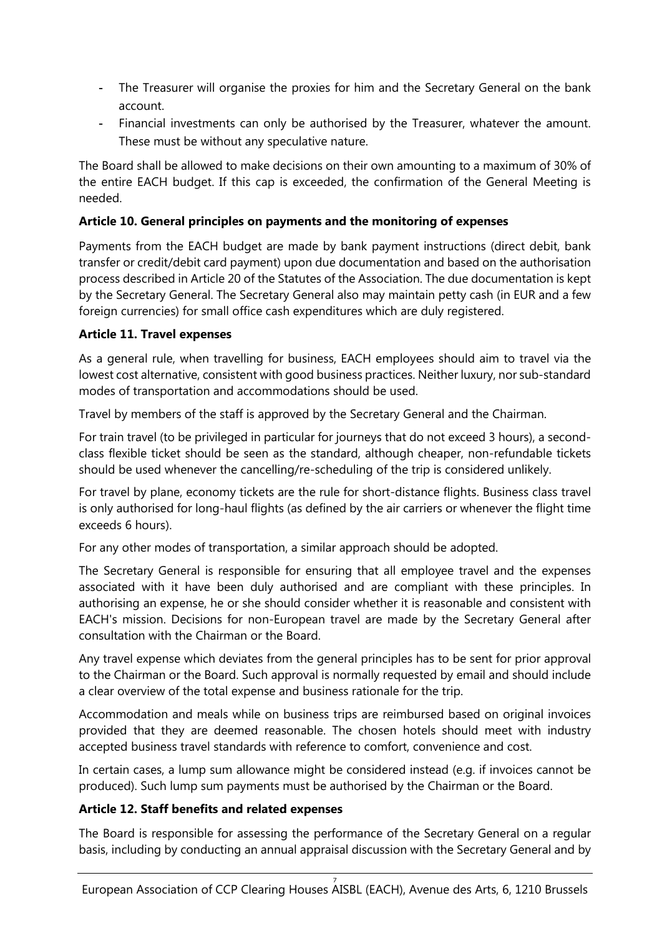- The Treasurer will organise the proxies for him and the Secretary General on the bank account.
- Financial investments can only be authorised by the Treasurer, whatever the amount. These must be without any speculative nature.

The Board shall be allowed to make decisions on their own amounting to a maximum of 30% of the entire EACH budget. If this cap is exceeded, the confirmation of the General Meeting is needed.

# **Article 10. General principles on payments and the monitoring of expenses**

Payments from the EACH budget are made by bank payment instructions (direct debit, bank transfer or credit/debit card payment) upon due documentation and based on the authorisation process described in Article 20 of the Statutes of the Association. The due documentation is kept by the Secretary General. The Secretary General also may maintain petty cash (in EUR and a few foreign currencies) for small office cash expenditures which are duly registered.

# **Article 11. Travel expenses**

As a general rule, when travelling for business, EACH employees should aim to travel via the lowest cost alternative, consistent with good business practices. Neither luxury, nor sub-standard modes of transportation and accommodations should be used.

Travel by members of the staff is approved by the Secretary General and the Chairman.

For train travel (to be privileged in particular for journeys that do not exceed 3 hours), a secondclass flexible ticket should be seen as the standard, although cheaper, non-refundable tickets should be used whenever the cancelling/re-scheduling of the trip is considered unlikely.

For travel by plane, economy tickets are the rule for short-distance flights. Business class travel is only authorised for long-haul flights (as defined by the air carriers or whenever the flight time exceeds 6 hours).

For any other modes of transportation, a similar approach should be adopted.

The Secretary General is responsible for ensuring that all employee travel and the expenses associated with it have been duly authorised and are compliant with these principles. In authorising an expense, he or she should consider whether it is reasonable and consistent with EACH's mission. Decisions for non-European travel are made by the Secretary General after consultation with the Chairman or the Board.

Any travel expense which deviates from the general principles has to be sent for prior approval to the Chairman or the Board. Such approval is normally requested by email and should include a clear overview of the total expense and business rationale for the trip.

Accommodation and meals while on business trips are reimbursed based on original invoices provided that they are deemed reasonable. The chosen hotels should meet with industry accepted business travel standards with reference to comfort, convenience and cost.

In certain cases, a lump sum allowance might be considered instead (e.g. if invoices cannot be produced). Such lump sum payments must be authorised by the Chairman or the Board.

### **Article 12. Staff benefits and related expenses**

The Board is responsible for assessing the performance of the Secretary General on a regular basis, including by conducting an annual appraisal discussion with the Secretary General and by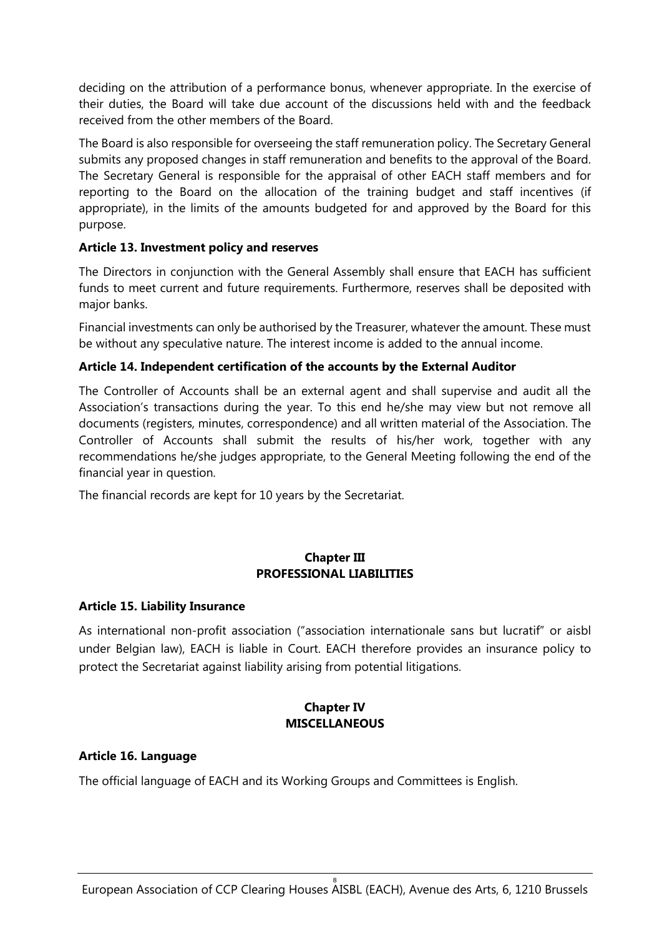deciding on the attribution of a performance bonus, whenever appropriate. In the exercise of their duties, the Board will take due account of the discussions held with and the feedback received from the other members of the Board.

The Board is also responsible for overseeing the staff remuneration policy. The Secretary General submits any proposed changes in staff remuneration and benefits to the approval of the Board. The Secretary General is responsible for the appraisal of other EACH staff members and for reporting to the Board on the allocation of the training budget and staff incentives (if appropriate), in the limits of the amounts budgeted for and approved by the Board for this purpose.

### **Article 13. Investment policy and reserves**

The Directors in conjunction with the General Assembly shall ensure that EACH has sufficient funds to meet current and future requirements. Furthermore, reserves shall be deposited with major banks.

Financial investments can only be authorised by the Treasurer, whatever the amount. These must be without any speculative nature. The interest income is added to the annual income.

# **Article 14. Independent certification of the accounts by the External Auditor**

The Controller of Accounts shall be an external agent and shall supervise and audit all the Association's transactions during the year. To this end he/she may view but not remove all documents (registers, minutes, correspondence) and all written material of the Association. The Controller of Accounts shall submit the results of his/her work, together with any recommendations he/she judges appropriate, to the General Meeting following the end of the financial year in question.

The financial records are kept for 10 years by the Secretariat.

### **Chapter III PROFESSIONAL LIABILITIES**

### **Article 15. Liability Insurance**

As international non-profit association ("association internationale sans but lucratif" or aisbl under Belgian law), EACH is liable in Court. EACH therefore provides an insurance policy to protect the Secretariat against liability arising from potential litigations.

# **Chapter IV MISCELLANEOUS**

### **Article 16. Language**

The official language of EACH and its Working Groups and Committees is English.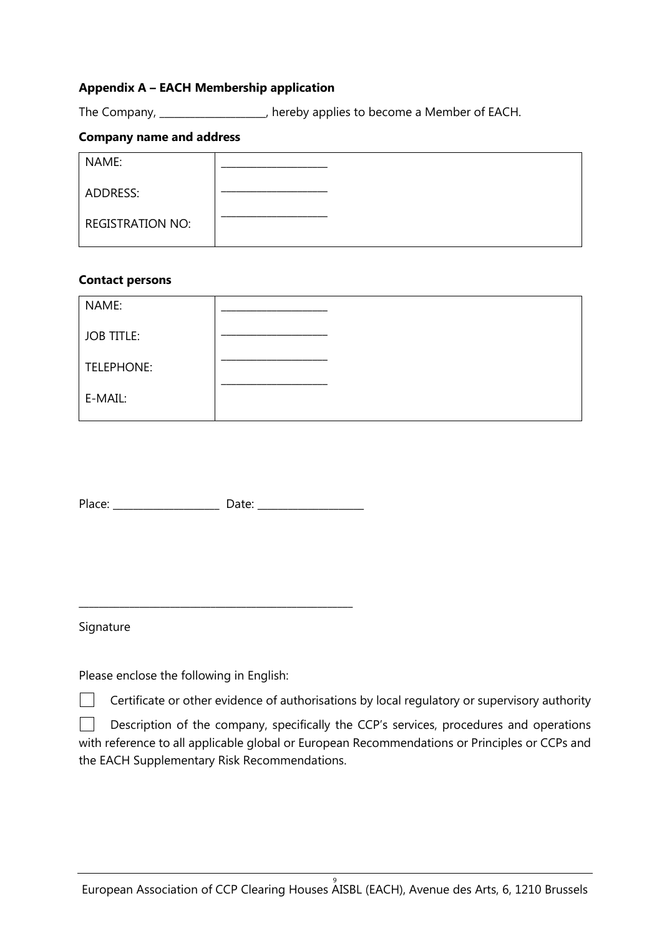### **Appendix A – EACH Membership application**

The Company, \_\_\_\_\_\_\_\_\_\_\_\_\_\_\_\_\_\_\_\_\_, hereby applies to become a Member of EACH.

#### **Company name and address**

| NAME:                   |  |
|-------------------------|--|
| ADDRESS:                |  |
| <b>REGISTRATION NO:</b> |  |

#### **Contact persons**

| NAME:             |  |
|-------------------|--|
| <b>JOB TITLE:</b> |  |
| TELEPHONE:        |  |
| E-MAIL:           |  |

Place: \_\_\_\_\_\_\_\_\_\_\_\_\_\_\_\_\_\_\_\_\_ Date: \_\_\_\_\_\_\_\_\_\_\_\_\_\_\_\_\_\_\_\_\_

\_\_\_\_\_\_\_\_\_\_\_\_\_\_\_\_\_\_\_\_\_\_\_\_\_\_\_\_\_\_\_\_\_\_\_\_\_\_\_\_\_\_\_\_\_\_\_\_\_\_\_\_\_\_

#### Signature

Please enclose the following in English:

Certificate or other evidence of authorisations by local regulatory or supervisory authority

Description of the company, specifically the CCP's services, procedures and operations with reference to all applicable global or European Recommendations or Principles or CCPs and the EACH Supplementary Risk Recommendations.